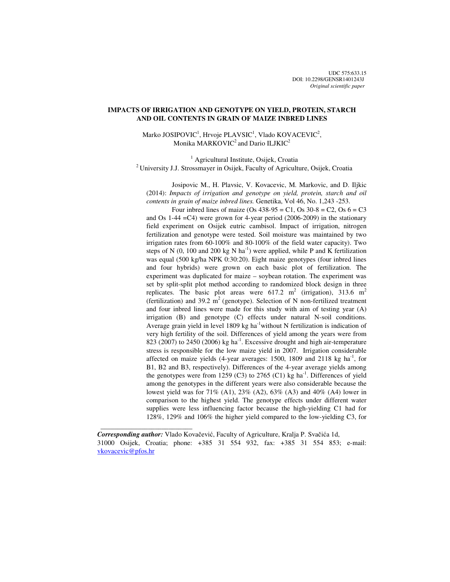# **IMPACTS OF IRRIGATION AND GENOTYPE ON YIELD, PROTEIN, STARCH AND OIL CONTENTS IN GRAIN OF MAIZE INBRED LINES**

 $\text{Marko JOSIPOVIC}^1, \text{Hrvoje PLAVSIC}^1, \text{Vlado KOVACEVIC}^2,$ Monika MARKOVIC<sup>2</sup> and Dario ILJKIC<sup>2</sup>

<sup>1</sup> Agricultural Institute, Osijek, Croatia <sup>2</sup> University J.J. Strossmayer in Osijek, Faculty of Agriculture, Osijek, Croatia

 Josipovic M., H. Plavsic, V. Kovacevic, M. Markovic, and D. Iljkic (2014): *Impacts of irrigation and genotype on yield, protein, starch and oil contents in grain of maize inbred lines.* Genetika, Vol 46, No. 1,243 -253.

Four inbred lines of maize (Os  $438-95 = C1$ , Os  $30-8 = C2$ , Os  $6 = C3$ and Os 1-44 =C4) were grown for 4-year period (2006-2009) in the stationary field experiment on Osijek eutric cambisol. Impact of irrigation, nitrogen fertilization and genotype were tested. Soil moisture was maintained by two irrigation rates from 60-100% and 80-100% of the field water capacity). Two steps of N (0, 100 and 200 kg N ha<sup>-1</sup>) were applied, while P and K fertilization was equal (500 kg/ha NPK 0:30:20). Eight maize genotypes (four inbred lines and four hybrids) were grown on each basic plot of fertilization. The experiment was duplicated for maize – soybean rotation. The experiment was set by split-split plot method according to randomized block design in three replicates. The basic plot areas were  $617.2 \text{ m}^2$  (irrigation), 313.6 m<sup>2</sup> (fertilization) and 39.2  $m^2$  (genotype). Selection of N non-fertilized treatment and four inbred lines were made for this study with aim of testing year (A) irrigation (B) and genotype (C) effects under natural N-soil conditions. Average grain yield in level 1809 kg ha<sup>-1</sup>without N fertilization is indication of very high fertility of the soil. Differences of yield among the years were from 823 (2007) to 2450 (2006) kg ha $^{-1}$ . Excessive drought and high air-temperature stress is responsible for the low maize yield in 2007. Irrigation considerable affected on maize yields  $(4$ -year averages: 1500, 1809 and 2118 kg ha<sup>-1</sup>, for B1, B2 and B3, respectively). Differences of the 4-year average yields among the genotypes were from 1259 (C3) to 2765 (C1) kg ha<sup>-1</sup>. Differences of yield among the genotypes in the different years were also considerable because the lowest yield was for 71% (A1), 23% (A2), 63% (A3) and 40% (A4) lower in comparison to the highest yield. The genotype effects under different water supplies were less influencing factor because the high-yielding C1 had for 128%, 129% and 106% the higher yield compared to the low-yielding C3, for

 $\frac{1}{2}$  , and the set of the set of the set of the set of the set of the set of the set of the set of the set of the set of the set of the set of the set of the set of the set of the set of the set of the set of the set

*Corresponding author:* Vlado Kovačević, Faculty of Agriculture, Kralja P. Svačića 1d, 31000 Osijek, Croatia; phone: +385 31 554 932, fax: +385 31 554 853; e-mail: vkovacevic@pfos.hr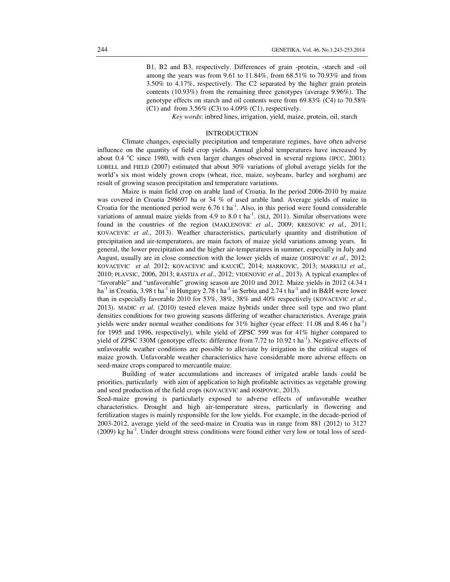B1, B2 and B3, respectively. Differences of grain -protein, -starch and -oil among the years was from 9.61 to 11.84%, from 68.51% to 70.93% and from 3.50% to 4.17%, respectively. The C2 separated by the higher grain protein contents (10.93%) from the remaining three genotypes (average 9.96%). The genotype effects on starch and oil contents were from 69.83% (C4) to 70.58%  $(C1)$  and from 3.56%  $(C3)$  to 4.09%  $(C1)$ , respectively.

 *Key words*: inbred lines, irrigation, yield, maize, protein, oil, starch

### INTRODUCTION

Climate changes, especially precipitation and temperature regimes, have often adverse influence on the quantity of field crop yields. Annual global temperatures have increased by about 0.4 °C since 1980, with even larger changes observed in several regions (IPCC, 2001). LOBELL and FIELD (2007) estimated that about 30% variations of global average yields for the world's six most widely grown crops (wheat, rice, maize, soybeans, barley and sorghum) are result of growing season precipitation and temperature variations.

Maize is main field crop on arable land of Croatia. In the period 2006-2010 by maize was covered in Croatia 298697 ha or 34 % of used arable land. Average yields of maize in Croatia for the mentioned period were  $6.76$  t ha<sup>-1</sup>. Also, in this period were found considerable variations of annual maize yields from 4.9 to 8.0 t ha<sup>-1</sup>. (SLJ, 2011). Similar observations were found in the countries of the region (MAKLENOVIC *et al.,* 2009; KRESOVIC *et al.,* 2011; KOVACEVIC *et al*., 2013). Weather characteristics, particularly quantity and distribution of precipitation and air-temperatures, are main factors of maize yield variations among years. In general, the lower precipitation and the higher air-temperatures in summer, especially in July and August, usually are in close connection with the lower yields of maize (JOSIPOVIC *et al*., 2012; KOVACEVIC *et al.* 2012; KOVACEVIC and KAUCIC, 2014; MARKOVIC, 2013; MARKULJ *et al.,* 2010; PLAVSIC, 2006, 2013; RASTIJA *et al*., 2012; VIDENOVIC *et al*., 2013). A typical examples of "favorable" and "unfavorable" growing season are 2010 and 2012. Maize yields in 2012 (4.34 t ha<sup>-1</sup> in Croatia, 3.98 t ha<sup>-1</sup> in Hungary 2.78 t ha<sup>-1</sup> in Serbia and 2.74 t ha<sup>-1</sup> and in B&H were lower than in especially favorable 2010 for 53%, 38%, 38% and 40% respectively (KOVACEVIC *et al*., 2013). MADIC *et al*. (2010) tested eleven maize hybrids under three soil type and two plant densities conditions for two growing seasons differing of weather characteristics. Average grain yields were under normal weather conditions for  $31\%$  higher (year effect: 11.08 and 8.46 t ha<sup>-1</sup>) for 1995 and 1996, respectively), while yield of ZPSC 599 was for 41% higher compared to yield of ZPSC 330M (genotype effects: difference from 7.72 to 10.92 t ha<sup>-1</sup>). Negative effects of unfavorable weather conditions are possible to alleviate by irrigation in the critical stages of maize growth. Unfavorable weather characteristics have considerable more adverse effects on seed-maize crops compared to mercantile maize.

Building of water accumulations and increases of irrigated arable lands could be priorities, particularly with aim of application to high profitable activities as vegetable growing and seed production of the field crops (KOVACEVIC and JOSIPOVIC, 2013).

Seed-maize growing is particularly exposed to adverse effects of unfavorable weather characteristics. Drought and high air-temperature stress, particularly in flowering and fertilization stages is mainly responsible for the low yields. For example, in the decade-period of 2003-2012, average yield of the seed-maize in Croatia was in range from 881 (2012) to 3127  $(2009)$  kg ha<sup>-1</sup>. Under drought stress conditions were found either very low or total loss of seed-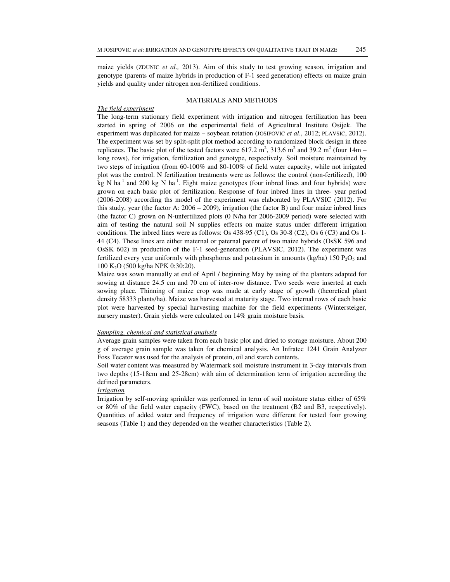maize yields (ZDUNIC *et al.,* 2013). Aim of this study to test growing season, irrigation and genotype (parents of maize hybrids in production of F-1 seed generation) effects on maize grain yields and quality under nitrogen non-fertilized conditions.

#### MATERIALS AND METHODS

# *The field experiment*

The long-term stationary field experiment with irrigation and nitrogen fertilization has been started in spring of 2006 on the experimental field of Agricultural Institute Osijek. The experiment was duplicated for maize – soybean rotation (JOSIPOVIC *et al.*, 2012; PLAVSIC, 2012). The experiment was set by split-split plot method according to randomized block design in three replicates. The basic plot of the tested factors were 617.2  $m^2$ , 313.6  $m^2$  and 39.2  $m^2$  (four 14m – long rows), for irrigation, fertilization and genotype, respectively. Soil moisture maintained by two steps of irrigation (from 60-100% and 80-100% of field water capacity, while not irrigated plot was the control. N fertilization treatments were as follows: the control (non-fertilized), 100  $kg$  N ha<sup>-1</sup> and 200 kg N ha<sup>-1</sup>. Eight maize genotypes (four inbred lines and four hybrids) were grown on each basic plot of fertilization. Response of four inbred lines in three- year period (2006-2008) according ths model of the experiment was elaborated by PLAVSIC (2012). For this study, year (the factor A:  $2006 - 2009$ ), irrigation (the factor B) and four maize inbred lines (the factor C) grown on N-unfertilized plots (0 N/ha for 2006-2009 period) were selected with aim of testing the natural soil N supplies effects on maize status under different irrigation conditions. The inbred lines were as follows: Os 438-95 (C1), Os 30-8 (C2), Os 6 (C3) and Os 1- 44 (C4). These lines are either maternal or paternal parent of two maize hybrids (OsSK 596 and OsSK 602) in production of the F-1 seed-generation (PLAVSIC, 2012). The experiment was fertilized every year uniformly with phosphorus and potassium in amounts  $(kg/ha)$  150  $P_2O_5$  and 100 K2O (500 kg/ha NPK 0:30:20).

Maize was sown manually at end of April / beginning May by using of the planters adapted for sowing at distance 24.5 cm and 70 cm of inter-row distance. Two seeds were inserted at each sowing place. Thinning of maize crop was made at early stage of growth (theoretical plant density 58333 plants/ha). Maize was harvested at maturity stage. Two internal rows of each basic plot were harvested by special harvesting machine for the field experiments (Wintersteiger, nursery master). Grain yields were calculated on 14% grain moisture basis.

## *Sampling, chemical and statistical analysis*

Average grain samples were taken from each basic plot and dried to storage moisture. About 200 g of average grain sample was taken for chemical analysis. An Infratec 1241 Grain Analyzer Foss Tecator was used for the analysis of protein, oil and starch contents.

Soil water content was measured by Watermark soil moisture instrument in 3-day intervals from two depths (15-18cm and 25-28cm) with aim of determination term of irrigation according the defined parameters.

### *Irrigation*

Irrigation by self-moving sprinkler was performed in term of soil moisture status either of 65% or 80% of the field water capacity (FWC), based on the treatment (B2 and B3, respectively). Quantities of added water and frequency of irrigation were different for tested four growing seasons (Table 1) and they depended on the weather characteristics (Table 2).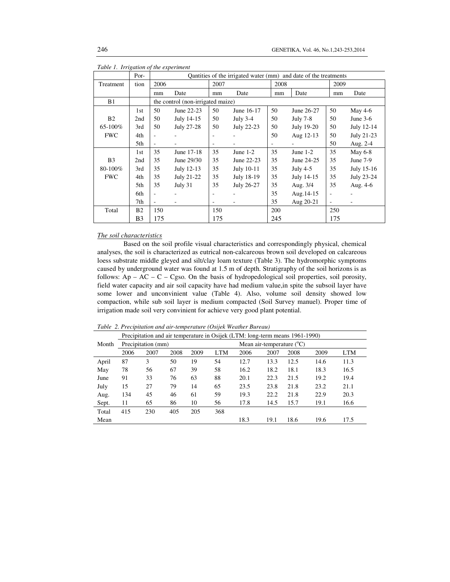|                | Por-           | Quantities of the irrigated water (mm) and date of the treatments |                                   |                          |            |      |            |                          |            |
|----------------|----------------|-------------------------------------------------------------------|-----------------------------------|--------------------------|------------|------|------------|--------------------------|------------|
| Treatment      | tion           | 2006                                                              |                                   | 2007                     |            | 2008 |            | 2009                     |            |
|                |                | mm                                                                | Date                              | mm                       | Date       | mm   | Date       | mm                       | Date       |
| <b>B</b> 1     |                |                                                                   | the control (non-irrigated maize) |                          |            |      |            |                          |            |
|                | 1st            | 50                                                                | June 22-23                        | 50                       | June 16-17 | 50   | June 26-27 | 50                       | May $4-6$  |
| B <sub>2</sub> | 2nd            | 50                                                                | July 14-15                        | 50                       | July 3-4   | 50   | July 7-8   | 50                       | June $3-6$ |
| 65-100%        | 3rd            | 50                                                                | July 27-28                        | 50                       | July 22-23 | 50   | July 19-20 | 50                       | July 12-14 |
| <b>FWC</b>     | 4th            |                                                                   |                                   |                          |            | 50   | Aug 12-13  | 50                       | July 21-23 |
|                | 5th            |                                                                   |                                   | $\overline{\phantom{a}}$ |            |      |            | 50                       | Aug. 2-4   |
|                | 1st            | 35                                                                | June 17-18                        | 35                       | June $1-2$ | 35   | June $1-2$ | 35                       | May 6-8    |
| B <sub>3</sub> | 2nd            | 35                                                                | June 29/30                        | 35                       | June 22-23 | 35   | June 24-25 | 35                       | June 7-9   |
| 80-100%        | 3rd            | 35                                                                | July 12-13                        | 35                       | July 10-11 | 35   | July $4-5$ | 35                       | July 15-16 |
| <b>FWC</b>     | 4th            | 35                                                                | July 21-22                        | 35                       | July 18-19 | 35   | July 14-15 | 35                       | July 23-24 |
|                | 5th            | 35                                                                | July 31                           | 35                       | July 26-27 | 35   | Aug. 3/4   | 35                       | Aug. 4-6   |
|                | 6th            | ٠                                                                 |                                   | ٠                        |            | 35   | Aug. 14-15 | $\overline{\phantom{a}}$ |            |
|                | 7th            | $\sim$                                                            |                                   | $\overline{\phantom{a}}$ |            | 35   | Aug 20-21  | $\overline{\phantom{a}}$ |            |
| Total          | B <sub>2</sub> | 150                                                               |                                   | 150                      |            | 200  |            | 250                      |            |
|                | B <sub>3</sub> | 175                                                               |                                   | 175                      |            | 245  |            | 175                      |            |

*Table 1. Irrigation of the experiment* 

# *The soil characteristics*

 Based on the soil profile visual characteristics and correspondingly physical, chemical analyses, the soil is characterized as eutrical non-calcareous brown soil developed on calcareous loess substrate middle gleyed and silt/clay loam texture (Table 3). The hydromorphic symptoms caused by underground water was found at 1.5 m of depth. Stratigraphy of the soil horizons is as follows:  $Ap - AC - C - C$ gso. On the basis of hydropedological soil properties, soil porosity, field water capacity and air soil capacity have had medium value,in spite the subsoil layer have some lower and unconvinient value (Table 4). Also, volume soil density showed low compaction, while sub soil layer is medium compacted (Soil Survey manuel). Proper time of irrigation made soil very convinient for achieve very good plant potential.

*Table 2. Precipitation and air-temperature (Osijek Weather Bureau)* 

|       |      |                    |      |      |            | Precipitation and air temperature in Osijek (LTM: long-term means 1961-1990) |      |      |      |            |  |  |  |
|-------|------|--------------------|------|------|------------|------------------------------------------------------------------------------|------|------|------|------------|--|--|--|
| Month |      | Precipitation (mm) |      |      |            | Mean air-temperature $(^{\circ}C)$                                           |      |      |      |            |  |  |  |
|       | 2006 | 2007               | 2008 | 2009 | <b>LTM</b> | 2006                                                                         | 2007 | 2008 | 2009 | <b>LTM</b> |  |  |  |
| April | 87   | 3                  | 50   | 19   | 54         | 12.7                                                                         | 13.3 | 12.5 | 14.6 | 11.3       |  |  |  |
| May   | 78   | 56                 | 67   | 39   | 58         | 16.2                                                                         | 18.2 | 18.1 | 18.3 | 16.5       |  |  |  |
| June  | 91   | 33                 | 76   | 63   | 88         | 20.1                                                                         | 22.3 | 21.5 | 19.2 | 19.4       |  |  |  |
| July  | 15   | 27                 | 79   | 14   | 65         | 23.5                                                                         | 23.8 | 21.8 | 23.2 | 21.1       |  |  |  |
| Aug.  | 134  | 45                 | 46   | 61   | 59         | 19.3                                                                         | 22.2 | 21.8 | 22.9 | 20.3       |  |  |  |
| Sept. | 11   | 65                 | 86   | 10   | 56         | 17.8                                                                         | 14.5 | 15.7 | 19.1 | 16.6       |  |  |  |
| Total | 415  | 230                | 405  | 205  | 368        |                                                                              |      |      |      |            |  |  |  |
| Mean  |      |                    |      |      |            | 18.3                                                                         | 19.1 | 18.6 | 19.6 | 17.5       |  |  |  |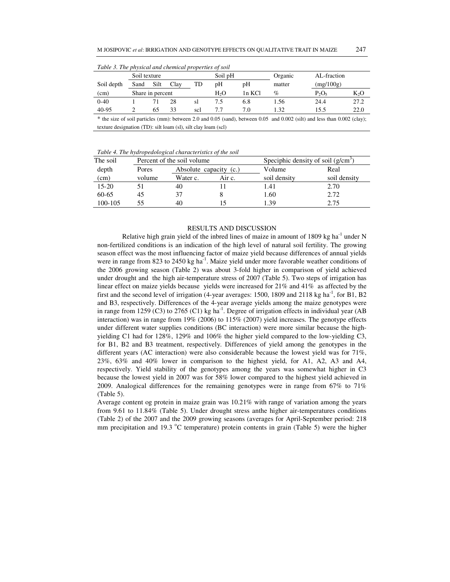| Table 3. The physical and chemical properties of soil |                  |      |      |     |         |     |          |                  |      |  |
|-------------------------------------------------------|------------------|------|------|-----|---------|-----|----------|------------------|------|--|
| Soil texture                                          |                  |      |      |     | Soil pH |     | Organic  | AL-fraction      |      |  |
| Soil depth                                            | Sand             | Silt | Clay | TD  | pΗ      | pН  | matter   | (mg/100g)        |      |  |
| (cm)                                                  | Share in percent |      |      | H,O | 1n KCl  | %   | $P_2O_5$ | K <sub>2</sub> O |      |  |
| $0 - 40$                                              |                  |      | 28   | sl  | 7.5     | 6.8 | 1.56     | 24.4             | 27.2 |  |
| 40-95                                                 |                  | 65   | 33   | scl | 7.7     | 7.0 | 1.32     | 15.5             | 22.0 |  |
|                                                       |                  |      |      |     |         |     |          |                  |      |  |

*Table 3. The physical and chemical properties of soil* 

\* the size of soil particles (mm): between 2.0 and 0.05 (sand), between 0.05 and 0.002 (silt) and less than 0.002 (clay); texture designation (TD): silt loam (sl), silt clay loam (scl)

*Table 4. The hydropedological characteristics of the soil* 

| The soil  |        | Percent of the soil volume |        | Speciphic density of soil $(g/cm^3)$ |              |  |  |
|-----------|--------|----------------------------|--------|--------------------------------------|--------------|--|--|
| depth     | Pores  | Absolute capacity (c.)     |        | Volume                               | Real         |  |  |
| (cm)      | volume | Water c.                   | Air c. | soil density                         | soil density |  |  |
| $15 - 20$ |        | 40                         |        | 1.41                                 | 2.70         |  |  |
| 60-65     | 45     | 37                         |        | 1.60                                 | 2.72         |  |  |
| 100-105   | 55     | 40                         |        | 1.39                                 | 2.75         |  |  |

### RESULTS AND DISCUSSION

Relative high grain yield of the inbred lines of maize in amount of 1809 kg ha<sup>-1</sup> under N non-fertilized conditions is an indication of the high level of natural soil fertility. The growing season effect was the most influencing factor of maize yield because differences of annual yields were in range from 823 to 2450 kg ha<sup>-1</sup>. Maize yield under more favorable weather conditions of the 2006 growing season (Table 2) was about 3-fold higher in comparison of yield achieved under drought and the high air-temperature stress of 2007 (Table 5). Two steps of irrigation has linear effect on maize yields because yields were increased for 21% and 41% as affected by the first and the second level of irrigation (4-year averages: 1500, 1809 and 2118 kg ha<sup>-1</sup>, for B1, B2 and B3, respectively. Differences of the 4-year average yields among the maize genotypes were in range from 1259 (C3) to 2765 (C1) kg ha<sup>-1</sup>. Degree of irrigation effects in individual year (AB interaction) was in range from 19% (2006) to 115% (2007) yield increases. The genotype effects under different water supplies conditions (BC interaction) were more similar because the highyielding C1 had for 128%, 129% and 106% the higher yield compared to the low-yielding C3, for B1, B2 and B3 treatment, respectively. Differences of yield among the genotypes in the different years (AC interaction) were also considerable because the lowest yield was for 71%, 23%, 63% and 40% lower in comparison to the highest yield, for A1, A2, A3 and A4, respectively. Yield stability of the genotypes among the years was somewhat higher in C3 because the lowest yield in 2007 was for 58% lower compared to the highest yield achieved in 2009. Analogical differences for the remaining genotypes were in range from 67% to 71% (Table 5).

Average content og protein in maize grain was 10.21% with range of variation among the years from 9.61 to 11.84% (Table 5). Under drought stress anthe higher air-temperatures conditions (Table 2) of the 2007 and the 2009 growing seasons (averages for April-September period: 218 mm precipitation and 19.3  $^{\circ}$ C temperature) protein contents in grain (Table 5) were the higher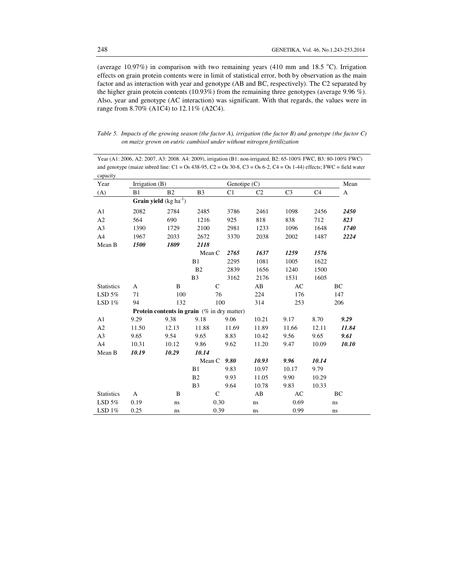(average 10.97%) in comparison with two remaining years (410 mm and 18.5  $^{\circ}$ C). Irrigation effects on grain protein contents were in limit of statistical error, both by observation as the main factor and as interaction with year and genotype (AB and BC, respectively). The C2 separated by the higher grain protein contents (10.93%) from the remaining three genotypes (average 9.96 %). Also, year and genotype (AC interaction) was significant. With that regards, the values were in range from 8.70% (A1C4) to 12.11% (A2C4).

| Table 5. Impacts of the growing season (the factor A), irrigation (the factor B) and genotype (the factor $C$ ) |
|-----------------------------------------------------------------------------------------------------------------|
| on maize grown on eutric cambisol under without nitrogen fertilization                                          |

Year (A1: 2006, A2: 2007, A3: 2008. A4: 2009), irrigation (B1: non-irrigated, B2: 65-100% FWC, B3: 80-100% FWC) and genotype (maize inbred line:  $C1 = Os$  438-95,  $C2 = Os$  30-8,  $C3 = Os$  6-2,  $C4 = Os$  1-44) effects; FWC = field water capacity

| Year              | Irrigation $(B)$ |                                                       |                |                | Genotipe $(C)$ |                |                |          |  |
|-------------------|------------------|-------------------------------------------------------|----------------|----------------|----------------|----------------|----------------|----------|--|
| (A)               | B1               | B <sub>2</sub>                                        | B <sub>3</sub> | C <sub>1</sub> | C <sub>2</sub> | C <sub>3</sub> | C <sub>4</sub> | A        |  |
|                   |                  | <b>Grain yield</b> $(kg ha-1)$                        |                |                |                |                |                |          |  |
| A1                | 2082             | 2784                                                  | 2485           | 3786           | 2461           | 1098           | 2456           | 2450     |  |
| A2                | 564              | 690                                                   | 1216           | 925            | 818            | 838            | 712            | 823      |  |
| A <sub>3</sub>    | 1390             | 1729                                                  | 2100           | 2981           | 1233           | 1096           | 1648           | 1740     |  |
| A4                | 1967             | 2033                                                  | 2672           | 3370           | 2038           | 2002           | 1487           | 2224     |  |
| Mean B            | 1500             | 1809                                                  | 2118           |                |                |                |                |          |  |
|                   |                  |                                                       | Mean C         | 2765           | 1637           | 1259           | 1576           |          |  |
|                   |                  |                                                       | B1             | 2295           | 1081           | 1005           | 1622           |          |  |
|                   |                  |                                                       | B <sub>2</sub> | 2839           | 1656           | 1240           | 1500           |          |  |
|                   |                  |                                                       | B <sub>3</sub> | 3162           | 2176           | 1531           | 1605           |          |  |
| <b>Statistics</b> | A                | B                                                     | $\mathsf{C}$   |                | AB             | AC             |                | BC       |  |
| LSD $5%$          | 71               | 100                                                   | 76             |                | 224            | 176            |                | 147      |  |
| LSD $1\%$         | 94               | 132                                                   | 100            |                | 314            | 253            | 206            |          |  |
|                   |                  | <b>Protein contents in grain</b> $(\%$ in dry matter) |                |                |                |                |                |          |  |
| A1                | 9.29             | 9.38                                                  | 9.18           | 9.06           | 10.21          | 9.17           | 8.70           | 9.29     |  |
| A2                | 11.50            | 12.13                                                 | 11.88          | 11.69          | 11.89          | 11.66          | 12.11          | 11.84    |  |
| A <sub>3</sub>    | 9.65             | 9.54                                                  | 9.65           | 8.83           | 10.42          | 9.56           | 9.65           | 9.61     |  |
| A4                | 10.31            | 10.12                                                 | 9.86           | 9.62           | 11.20          | 9.47           | 10.09          | 10.10    |  |
| Mean B            | 10.19            | 10.29                                                 | 10.14          |                |                |                |                |          |  |
|                   |                  |                                                       | Mean C         | 9.80           | 10.93          | 9.96           | 10.14          |          |  |
|                   |                  |                                                       | B1             | 9.83           | 10.97          | 10.17          | 9.79           |          |  |
|                   |                  |                                                       | B <sub>2</sub> | 9.93           | 11.05          | 9.90           | 10.29          |          |  |
|                   |                  |                                                       | B <sub>3</sub> | 9.64           | 10.78          | 9.83           | 10.33          |          |  |
| <b>Statistics</b> | A                | B                                                     | $\mathcal{C}$  |                | AB             | AC             |                | BC       |  |
| $LSD$ 5%          | 0.19             | ns                                                    | 0.30           |                | ns             | 0.69           |                | $\rm ns$ |  |
| LSD $1\%$         | 0.25             | ns                                                    | 0.39           |                | ns             | 0.99           |                | ns       |  |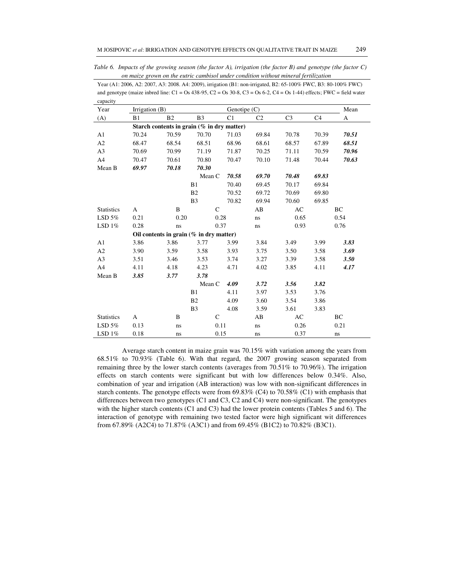*Table 6. Impacts of the growing season (the factor A), irrigation (the factor B) and genotype (the factor C) on maize grown on the eutric cambisol under condition without mineral fertilization* 

| Year (A1: 2006, A2: 2007, A3: 2008. A4: 2009), irrigation (B1: non-irrigated, B2: 65-100% FWC, B3: 80-100% FWC)              |
|------------------------------------------------------------------------------------------------------------------------------|
| and genotype (maize inbred line: $C1 = Os$ 438-95, $C2 = Os$ 30-8, $C3 = Os$ 6-2, $C4 = Os$ 1-44) effects; FWC = field water |
| capacity                                                                                                                     |

| capacity<br>Year  | Irrigation (B) |                |                                            |                | Genotipe $(C)$ |                |                |             |  |
|-------------------|----------------|----------------|--------------------------------------------|----------------|----------------|----------------|----------------|-------------|--|
| (A)               | B1             | B <sub>2</sub> | B <sub>3</sub>                             | C <sub>1</sub> | C <sub>2</sub> | C <sub>3</sub> | C <sub>4</sub> | A           |  |
|                   |                |                | Starch contents in grain (% in dry matter) |                |                |                |                |             |  |
| A1                | 70.24          | 70.59          | 70.70                                      | 71.03          | 69.84          | 70.78          | 70.39          | 70.51       |  |
| A2                | 68.47          | 68.54          | 68.51                                      | 68.96          | 68.61          | 68.57          | 67.89          | 68.51       |  |
| A <sub>3</sub>    | 70.69          | 70.99          | 71.19                                      | 71.87          | 70.25          | 71.11          | 70.59          | 70.96       |  |
| A4                | 70.47          | 70.61          | 70.80                                      | 70.47          | 70.10          | 71.48          | 70.44          | 70.63       |  |
| Mean B            | 69.97          | 70.18          | 70.30                                      |                |                |                |                |             |  |
|                   |                |                | Mean C                                     | 70.58          | 69.70          | 70.48          | 69.83          |             |  |
|                   |                |                | B1                                         | 70.40          | 69.45          | 70.17          | 69.84          |             |  |
|                   |                |                | B <sub>2</sub>                             | 70.52          | 69.72          | 70.69          | 69.80          |             |  |
|                   |                |                | B <sub>3</sub>                             | 70.82          | 69.94          | 70.60          | 69.85          |             |  |
| <b>Statistics</b> | A              | B              | $\mathcal{C}$                              |                | AB             | AC             |                | BC          |  |
| LSD $5%$          | 0.21           | 0.20           | 0.28                                       |                | ns             | 0.65           |                | 0.54        |  |
| LSD $1\%$         | 0.28           | ns             | 0.37                                       |                | ns             | 0.93           |                | 0.76        |  |
|                   |                |                | Oil contents in grain $(\%$ in dry matter) |                |                |                |                |             |  |
| A1                | 3.86           | 3.86           | 3.77                                       | 3.99           | 3.84           | 3.49           | 3.99           | 3.83        |  |
| A2                | 3.90           | 3.59           | 3.58                                       | 3.93           | 3.75           | 3.50           | 3.58           | 3.69        |  |
| A <sub>3</sub>    | 3.51           | 3.46           | 3.53                                       | 3.74           | 3.27           | 3.39           | 3.58           | <b>3.50</b> |  |
| A4                | 4.11           | 4.18           | 4.23                                       | 4.71           | 4.02           | 3.85           | 4.11           | 4.17        |  |
| Mean B            | 3.85           | 3.77           | 3.78                                       |                |                |                |                |             |  |
|                   |                |                | Mean C                                     | 4.09           | 3.72           | 3.56           | 3.82           |             |  |
|                   |                |                | B1                                         | 4.11           | 3.97           | 3.53           | 3.76           |             |  |
|                   |                |                | <b>B2</b>                                  | 4.09           | 3.60           | 3.54           | 3.86           |             |  |
|                   |                |                | B <sub>3</sub>                             | 4.08           | 3.59           | 3.61           | 3.83           |             |  |
| <b>Statistics</b> | A              | B              | $\mathcal{C}$                              |                | AB             | AC             |                | BC          |  |
| $LSD$ 5%          | 0.13           | ns             | 0.11                                       |                | ns             | 0.26           |                | 0.21        |  |
| LSD $1\%$         | 0.18           | ns             | 0.15                                       |                | ns             | 0.37           |                | ns          |  |

Average starch content in maize grain was 70.15% with variation among the years from 68.51% to 70.93% (Table 6). With that regard, the 2007 growing season separated from remaining three by the lower starch contents (averages from 70.51% to 70.96%). The irrigation effects on starch contents were significant but with low differences below 0.34%. Also, combination of year and irrigation (AB interaction) was low with non-significant differences in starch contents. The genotype effects were from 69.83% (C4) to 70.58% (C1) with emphasis that differences between two genotypes (C1 and C3, C2 and C4) were non-significant. The genotypes with the higher starch contents (C1 and C3) had the lower protein contents (Tables 5 and 6). The interaction of genotype with remaining two tested factor were high significant wit differences from 67.89% (A2C4) to 71.87% (A3C1) and from 69.45% (B1C2) to 70.82% (B3C1).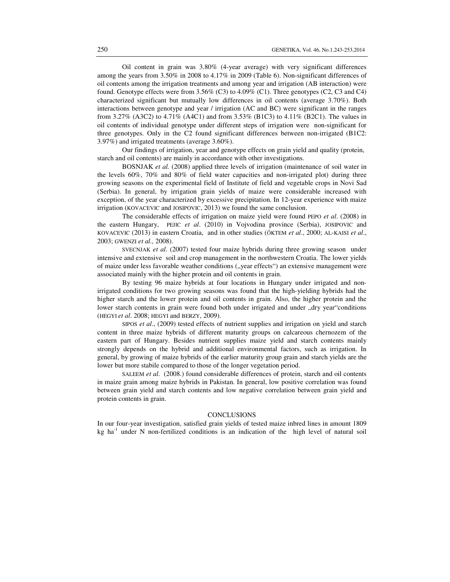Oil content in grain was 3.80% (4-year average) with very significant differences among the years from 3.50% in 2008 to 4.17% in 2009 (Table 6). Non-significant differences of oil contents among the irrigation treatments and among year and irrigation (AB interaction) were found. Genotype effects were from 3.56% (C3) to 4.09% (C1). Three genotypes (C2, C3 and C4) characterized significant but mutually low differences in oil contents (average 3.70%). Both interactions between genotype and year / irrigation (AC and BC) were significant in the ranges from 3.27% (A3C2) to 4.71% (A4C1) and from 3.53% (B1C3) to 4.11% (B2C1). The values in oil contents of individual genotype under different steps of irrigation were non-significant for three genotypes. Only in the C2 found significant differences between non-irrigated (B1C2: 3.97%) and irrigated treatments (average 3.60%).

Our findings of irrigation, year and genotype effects on grain yield and quality (protein, starch and oil contents) are mainly in accordance with other investigations.

BOSNJAK *et al.* (2008) applied three levels of irrigation (maintenance of soil water in the levels 60%, 70% and 80% of field water capacities and non-irrigated plot) during three growing seasons on the experimental field of Institute of field and vegetable crops in Novi Sad (Serbia). In general, by irrigation grain yields of maize were considerable increased with exception, of the year characterized by excessive precipitation. In 12-year experience with maize irrigation (KOVACEVIC and JOSIPOVIC, 2013) we found the same conclusion.

The considerable effects of irrigation on maize yield were found PEPO *et al*. (2008) in the eastern Hungary, PEJIC *et al*. (2010) in Vojvodina province (Serbia), JOSIPOVIC and KOVACEVIC (2013) in eastern Croatia, and in other studies (ŐKTEM *et al*., 2000; AL-KAISI *et al*., 2003; GWENZI *et al.,* 2008).

SVECNJAK *et al*. (2007) tested four maize hybrids during three growing season under intensive and extensive soil and crop management in the northwestern Croatia. The lower yields of maize under less favorable weather conditions ("year effects") an extensive management were associated mainly with the higher protein and oil contents in grain.

By testing 96 maize hybrids at four locations in Hungary under irrigated and nonirrigated conditions for two growing seasons was found that the high-yielding hybrids had the higher starch and the lower protein and oil contents in grain. Also, the higher protein and the lower starch contents in grain were found both under irrigated and under "dry year"conditions (HEGYI *et al*. 2008; HEGYI and BERZY, 2009).

SIPOS *et al*., (2009) tested effects of nutrient supplies and irrigation on yield and starch content in three maize hybrids of different maturity groups on calcareous chernozem of the eastern part of Hungary. Besides nutrient supplies maize yield and starch contents mainly strongly depends on the hybrid and additional environmental factors, such as irrigation. In general, by growing of maize hybrids of the earlier maturity group grain and starch yields are the lower but more stabile compared to those of the longer vegetation period.

SALEEM *et al*. (2008.) found considerable differences of protein, starch and oil contents in maize grain among maize hybrids in Pakistan. In general, low positive correlation was found between grain yield and starch contents and low negative correlation between grain yield and protein contents in grain.

#### **CONCLUSIONS**

In our four-year investigation, satisfied grain yields of tested maize inbred lines in amount 1809 kg ha $^{-1}$  under N non-fertilized conditions is an indication of the high level of natural soil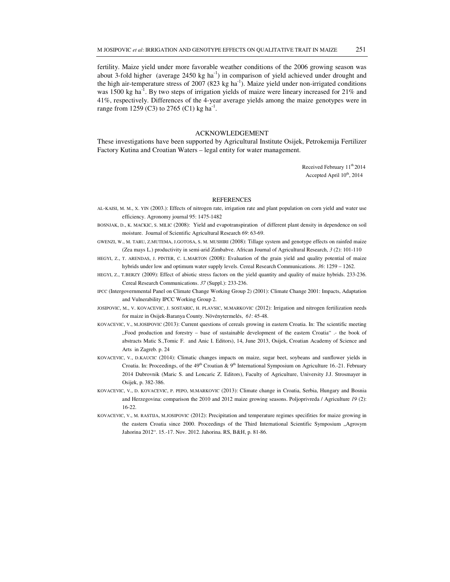fertility. Maize yield under more favorable weather conditions of the 2006 growing season was about 3-fold higher (average  $2450 \text{ kg}$  ha<sup>-1</sup>) in comparison of yield achieved under drought and the high air-temperature stress of  $2007 (823 \text{ kg ha}^{-1})$ . Maize yield under non-irrigated conditions was 1500 kg ha<sup>-1</sup>. By two steps of irrigation yields of maize were lineary increased for  $21\%$  and 41%, respectively. Differences of the 4-year average yields among the maize genotypes were in range from 1259 (C3) to 2765 (C1) kg ha<sup>-1</sup>.

## ACKNOWLEDGEMENT

These investigations have been supported by Agricultural Institute Osijek, Petrokemija Fertilizer Factory Kutina and Croatian Waters – legal entity for water management.

> Received February  $11<sup>th</sup> 2014$ Accepted April  $10^{th}$ , 2014

#### **REFERENCES**

- AL-KAISI, M. M., X. YIN (2003.): Effects of nitrogen rate, irrigation rate and plant population on corn yield and water use efficiency. Agronomy journal 95: 1475-1482
- BOSNJAK, D., K. MACKIC, S. MILIC (2008): Yield and evapotranspiration of different plant density in dependence on soil moisture. Journal of Scientific Agricultural Research *69*: 63-69.
- GWENZI, W., M. TARU, Z.MUTEMA, J.GOTOSA, S. M. MUSHIRI (2008): Tillage system and genotype effects on rainfed maize (Zea mays L.) productivity in semi-arid Zimbabve. African Journal of Agricultural Research, *3* (2): 101-110
- HEGYI, Z., T. ARENDAS, J. PINTER, C. L.MARTON (2008): Evaluation of the grain yield and quality potential of maize hybrids under low and optimum water supply levels. Cereal Research Communications. *36*: 1259 – 1262.
- HEGYI, Z., T.BERZY (2009): Effect of abiotic stress factors on the yield quantity and quality of maize hybrids. 233-236. Cereal Research Communications. *37* (Suppl.): 233-236.
- IPCC (Intergovernmental Panel on Climate Change Working Group 2) (2001): Climate Change 2001: Impacts, Adaptation and Vulnerability IPCC Working Group 2.
- JOSIPOVIC, M., V. KOVACEVIC, J. SOSTARIC, H. PLAVSIC, M.MARKOVIC (2012): Irrigation and nitrogen fertilization needs for maize in Osijek-Baranya County. Növénytermelés, *61*: 45-48.
- KOVACEVIC, V., M.JOSIPOVIC (2013): Current questions of cereals growing in eastern Croatia. In: The scientific meeting "Food production and forestry – base of sustainable development of the eastern Croatia" .- the book of abstracts Matic S.,Tomic F. and Anic I. Editors), 14, June 2013, Osijek, Croatian Academy of Science and Arts in Zagreb. p. 24
- KOVACEVIC, V., D.KAUCIC (2014): Climatic changes impacts on maize, sugar beet, soybeans and sunflower yields in Croatia. In: Proceedings, of the  $49<sup>th</sup>$  Croatian &  $9<sup>th</sup>$  International Symposium on Agriculture 16.-21. February 2014 Dubrovnik (Maric S. and Loncaric Z. Editors), Faculty of Agriculture, University J.J. Strosmayer in Osijek, p. 382-386.
- KOVACEVIC, V., D. KOVACEVIC, P. PEPO, M.MARKOVIC (2013): Climate change in Croatia, Serbia, Hungary and Bosnia and Herzegovina: comparison the 2010 and 2012 maize growing seasons. Poljoprivreda / Agriculture *19* (2): 16-22.
- KOVACEVIC, V., M. RASTIJA, M.JOSIPOVIC (2012): Precipitation and temperature regimes specifities for maize growing in the eastern Croatia since 2000. Proceedings of the Third International Scientific Symposium "Agrosym Jahorina 2012". 15.-17. Nov. 2012. Jahorina. RS, B&H, p. 81-86.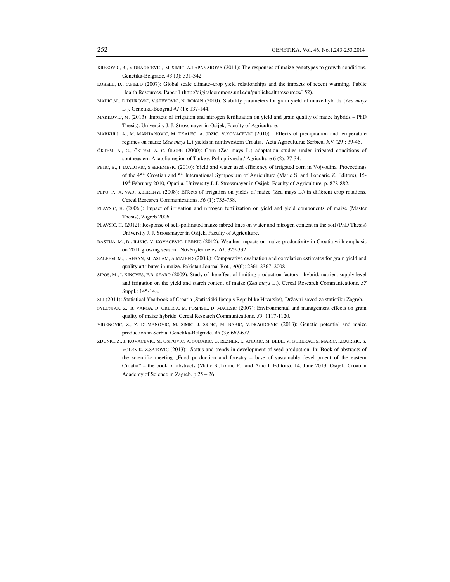- KRESOVIC, B., V.DRAGICEVIC, M. SIMIC, A.TAPANAROVA (2011): The responses of maize genotypes to growth conditions. Genetika-Belgrade, *43* (3): 331-342.
- LOBELL, D., C.FIELD (2007): Global scale climate–crop yield relationships and the impacts of recent warming. Public Health Resources. Paper 1 (http://digitalcommons.unl.edu/publichealthresources/152).
- MADIC,M., D.DJUROVIC, V.STEVOVIC, N. BOKAN (2010): Stability parameters for grain yield of maize hybrids (*Zea mays* L.). Genetika-Beograd *42* (1): 137-144.
- MARKOVIC, M. (2013): Impacts of irrigation and nitrogen fertilization on yield and grain quality of maize hybrids PhD Thesis). University J. J. Strossmayer in Osijek, Faculty of Agriculture.
- MARKULJ, A., M. MARIJANOVIC, M. TKALEC, A. JOZIC, V.KOVACEVIC (2010): Effects of precipitation and temperature regimes on maize (*Zea mays* L.) yields in northwestern Croatia. Acta Agriculturae Serbica, XV (29): 39-45.
- ŐKTEM, A., G., ŐKTEM, A. C. ŰLGER (2000): Corn (Zea mays L.) adaptation studies under irrigated conditions of southeastern Anatolia region of Turkey. Poljoprivreda / Agriculture 6 (2): 27-34.
- PEJIC, B., I. DJALOVIC, S.SEREMESIC (2010): Yield and water used efficiency of irrigated corn in Vojvodina. Proceedings of the 45<sup>th</sup> Croatian and 5<sup>th</sup> International Symposium of Agriculture (Maric S. and Loncaric Z. Editors), 15-19th February 2010, Opatija. University J. J. Strossmayer in Osijek, Faculty of Agriculture, p. 878-882.
- PEPO, P., A. VAD, S.BERENYI (2008): Effects of irrigation on yields of maize (Zea mays L.) in different crop rotations. Cereal Research Communications. *36* (1): 735-738.
- PLAVSIC, H. (2006.): Impact of irrigation and nitrogen fertilization on yield and yield components of maize (Master Thesis), Zagreb 2006
- PLAVSIC, H. (2012): Response of self-pollinated maize inbred lines on water and nitrogen content in the soil (PhD Thesis) University J. J. Strossmayer in Osijek, Faculty of Agriculture.
- RASTIJA, M., D., ILJKIC, V. KOVACEVIC, I.BRKIC (2012): Weather impacts on maize productivity in Croatia with emphasis on 2011 growing season. Növénytermelés *61*: 329-332.
- SALEEM, M., . AHSAN, M. ASLAM, A.MAJEED (2008.): Comparative evaluation and correlation estimates for grain yield and quality attributes in maize. Pakistan Journal Bot., *40*(6): 2361-2367, 2008.
- SIPOS, M., I. KINCVES, E.B. SZABO (2009): Study of the effect of limiting production factors hybrid, nutrient supply level and irrigation on the yield and starch content of maize (*Zea mays* L.). Cereal Research Communications. *37* Suppl.: 145-148.
- SLJ (2011): Statistical Yearbook of Croatia (Statistički ljetopis Republike Hrvatske), Državni zavod za statistiku Zagreb.
- SVECNJAK, Z., B. VARGA, D. GRBESA, M. POSPISIL, D. MACESIC (2007): Environmental and management effects on grain quality of maize hybrids. Cereal Research Communications. *35*: 1117-1120.
- VIDENOVIC, Z., Z. DUMANOVIC, M. SIMIC, J. SRDIC, M. BABIC, V.DRAGICEVIC (2013): Genetic potential and maize production in Serbia. Genetika-Belgrade, *45* (3): 667-677.
- ZDUNIC, Z., J. KOVACEVIC, M. OSIPOVIC, A. SUDARIC, G. REZNER, L. ANDRIC, M. BEDE, V. GUBERAC, S. MARIC, I.DJURKIC, S. VOLENIK, Z.SATOVIC (2013): Status and trends in development of seed production. In: Book of abstracts of the scientific meeting .,Food production and forestry – base of sustainable development of the eastern Croatia" – the book of abstracts (Matic S.,Tomic F. and Anic I. Editors). 14, June 2013, Osijek, Croatian Academy of Science in Zagreb. p 25 – 26.